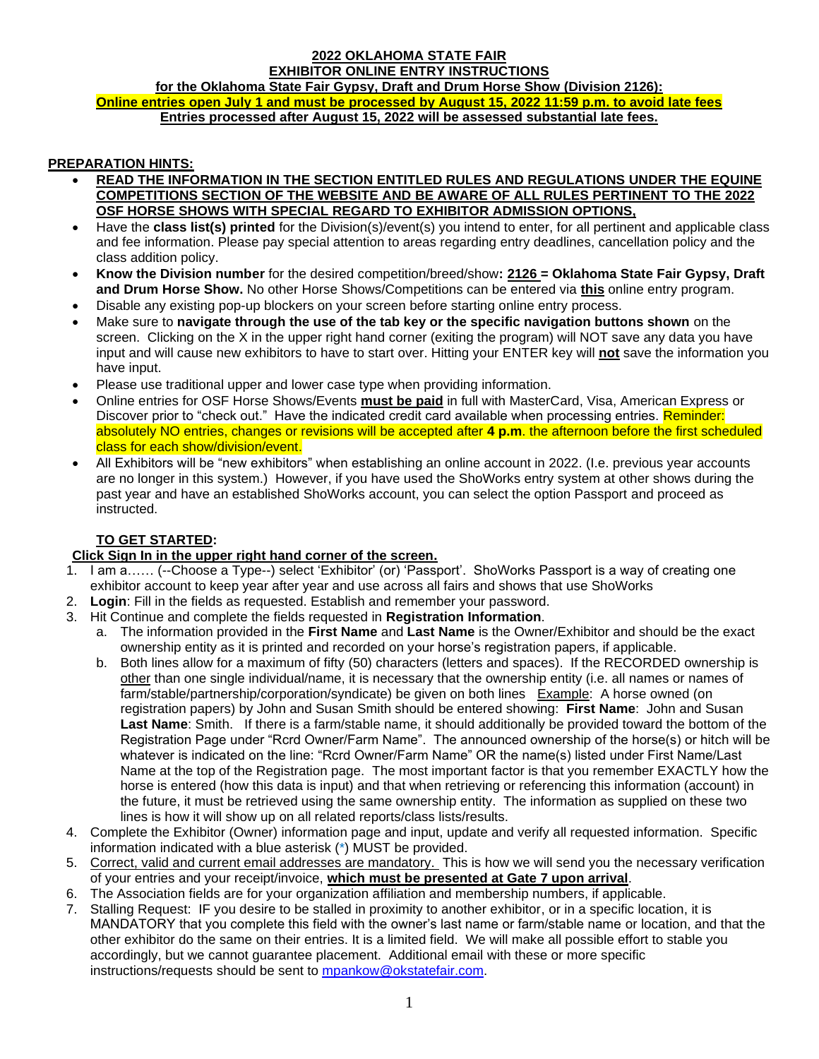## **2022 OKLAHOMA STATE FAIR EXHIBITOR ONLINE ENTRY INSTRUCTIONS for the Oklahoma State Fair Gypsy, Draft and Drum Horse Show (Division 2126): Online entries open July 1 and must be processed by August 15, 2022 11:59 p.m. to avoid late fees Entries processed after August 15, 2022 will be assessed substantial late fees.**

# **PREPARATION HINTS:**

- **READ THE INFORMATION IN THE SECTION ENTITLED RULES AND REGULATIONS UNDER THE EQUINE COMPETITIONS SECTION OF THE WEBSITE AND BE AWARE OF ALL RULES PERTINENT TO THE 2022 OSF HORSE SHOWS WITH SPECIAL REGARD TO EXHIBITOR ADMISSION OPTIONS,**
- Have the **class list(s) printed** for the Division(s)/event(s) you intend to enter, for all pertinent and applicable class and fee information. Please pay special attention to areas regarding entry deadlines, cancellation policy and the class addition policy.
- **Know the Division number** for the desired competition/breed/show**: 2126 = Oklahoma State Fair Gypsy, Draft and Drum Horse Show.** No other Horse Shows/Competitions can be entered via **this** online entry program.
- Disable any existing pop-up blockers on your screen before starting online entry process.
- Make sure to **navigate through the use of the tab key or the specific navigation buttons shown** on the screen. Clicking on the X in the upper right hand corner (exiting the program) will NOT save any data you have input and will cause new exhibitors to have to start over. Hitting your ENTER key will **not** save the information you have input.
- Please use traditional upper and lower case type when providing information.
- Online entries for OSF Horse Shows/Events **must be paid** in full with MasterCard, Visa, American Express or Discover prior to "check out." Have the indicated credit card available when processing entries. Reminder: absolutely NO entries, changes or revisions will be accepted after **4 p.m**. the afternoon before the first scheduled class for each show/division/event.
- All Exhibitors will be "new exhibitors" when establishing an online account in 2022. (I.e. previous year accounts are no longer in this system.) However, if you have used the ShoWorks entry system at other shows during the past year and have an established ShoWorks account, you can select the option Passport and proceed as instructed.

# **TO GET STARTED:**

# **Click Sign In in the upper right hand corner of the screen.**

- 1. I am a…… (--Choose a Type--) select 'Exhibitor' (or) 'Passport'. ShoWorks Passport is a way of creating one exhibitor account to keep year after year and use across all fairs and shows that use ShoWorks
- 2. **Login**: Fill in the fields as requested. Establish and remember your password.
- 3. Hit Continue and complete the fields requested in **Registration Information**.
	- a. The information provided in the **First Name** and **Last Name** is the Owner/Exhibitor and should be the exact ownership entity as it is printed and recorded on your horse's registration papers, if applicable.
	- b. Both lines allow for a maximum of fifty (50) characters (letters and spaces). If the RECORDED ownership is other than one single individual/name, it is necessary that the ownership entity (i.e. all names or names of farm/stable/partnership/corporation/syndicate) be given on both lines Example: A horse owned (on registration papers) by John and Susan Smith should be entered showing: **First Name**: John and Susan **Last Name**: Smith. If there is a farm/stable name, it should additionally be provided toward the bottom of the Registration Page under "Rcrd Owner/Farm Name". The announced ownership of the horse(s) or hitch will be whatever is indicated on the line: "Rcrd Owner/Farm Name" OR the name(s) listed under First Name/Last Name at the top of the Registration page. The most important factor is that you remember EXACTLY how the horse is entered (how this data is input) and that when retrieving or referencing this information (account) in the future, it must be retrieved using the same ownership entity. The information as supplied on these two lines is how it will show up on all related reports/class lists/results.
- 4. Complete the Exhibitor (Owner) information page and input, update and verify all requested information. Specific information indicated with a blue asterisk (\*) MUST be provided.
- 5. Correct, valid and current email addresses are mandatory. This is how we will send you the necessary verification of your entries and your receipt/invoice, **which must be presented at Gate 7 upon arrival**.
- 6. The Association fields are for your organization affiliation and membership numbers, if applicable.
- 7. Stalling Request: IF you desire to be stalled in proximity to another exhibitor, or in a specific location, it is MANDATORY that you complete this field with the owner's last name or farm/stable name or location, and that the other exhibitor do the same on their entries. It is a limited field. We will make all possible effort to stable you accordingly, but we cannot guarantee placement. Additional email with these or more specific instructions/requests should be sent to [mpankow@okstatefair.com.](mailto:mpankow@okstatefair.com)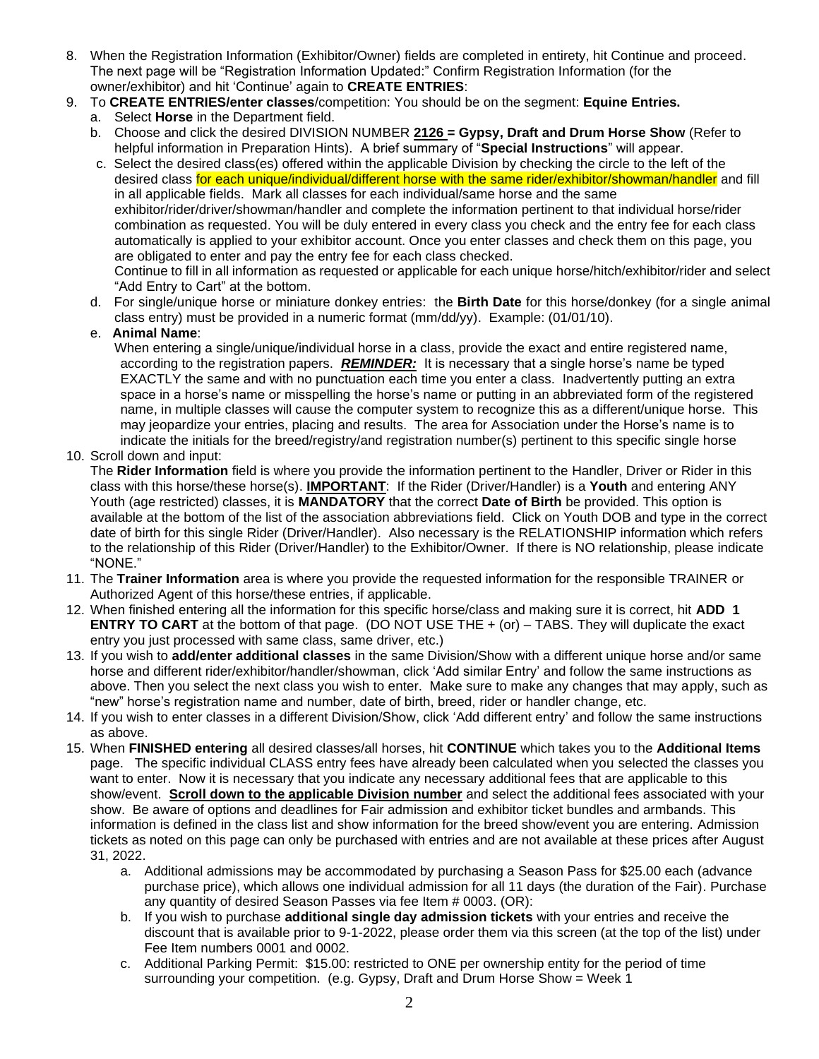- 8. When the Registration Information (Exhibitor/Owner) fields are completed in entirety, hit Continue and proceed. The next page will be "Registration Information Updated:" Confirm Registration Information (for the owner/exhibitor) and hit 'Continue' again to **CREATE ENTRIES**:
- 9. To **CREATE ENTRIES/enter classes**/competition: You should be on the segment: **Equine Entries.** 
	- a. Select **Horse** in the Department field.
	- b. Choose and click the desired DIVISION NUMBER **2126 = Gypsy, Draft and Drum Horse Show** (Refer to helpful information in Preparation Hints).A brief summary of "**Special Instructions**" will appear.
	- c. Select the desired class(es) offered within the applicable Division by checking the circle to the left of the desired class for each unique/individual/different horse with the same rider/exhibitor/showman/handler and fill in all applicable fields. Mark all classes for each individual/same horse and the same exhibitor/rider/driver/showman/handler and complete the information pertinent to that individual horse/rider combination as requested. You will be duly entered in every class you check and the entry fee for each class automatically is applied to your exhibitor account. Once you enter classes and check them on this page, you are obligated to enter and pay the entry fee for each class checked. Continue to fill in all information as requested or applicable for each unique horse/hitch/exhibitor/rider and select "Add Entry to Cart" at the bottom.
	- d. For single/unique horse or miniature donkey entries: the **Birth Date** for this horse/donkey (for a single animal class entry) must be provided in a numeric format (mm/dd/yy). Example: (01/01/10).

# e. **Animal Name**:

When entering a single/unique/individual horse in a class, provide the exact and entire registered name, according to the registration papers. *REMINDER:* It is necessary that a single horse's name be typed EXACTLY the same and with no punctuation each time you enter a class. Inadvertently putting an extra space in a horse's name or misspelling the horse's name or putting in an abbreviated form of the registered name, in multiple classes will cause the computer system to recognize this as a different/unique horse. This may jeopardize your entries, placing and results. The area for Association under the Horse's name is to indicate the initials for the breed/registry/and registration number(s) pertinent to this specific single horse

10. Scroll down and input:

The **Rider Information** field is where you provide the information pertinent to the Handler, Driver or Rider in this class with this horse/these horse(s). **IMPORTANT**: If the Rider (Driver/Handler) is a **Youth** and entering ANY Youth (age restricted) classes, it is **MANDATORY** that the correct **Date of Birth** be provided. This option is available at the bottom of the list of the association abbreviations field. Click on Youth DOB and type in the correct date of birth for this single Rider (Driver/Handler). Also necessary is the RELATIONSHIP information which refers to the relationship of this Rider (Driver/Handler) to the Exhibitor/Owner. If there is NO relationship, please indicate "NONE."

- 11. The **Trainer Information** area is where you provide the requested information for the responsible TRAINER or Authorized Agent of this horse/these entries, if applicable.
- 12. When finished entering all the information for this specific horse/class and making sure it is correct, hit **ADD 1 ENTRY TO CART** at the bottom of that page. (DO NOT USE THE + (or) – TABS. They will duplicate the exact entry you just processed with same class, same driver, etc.)
- 13. If you wish to **add/enter additional classes** in the same Division/Show with a different unique horse and/or same horse and different rider/exhibitor/handler/showman, click 'Add similar Entry' and follow the same instructions as above. Then you select the next class you wish to enter. Make sure to make any changes that may apply, such as "new" horse's registration name and number, date of birth, breed, rider or handler change, etc.
- 14. If you wish to enter classes in a different Division/Show, click 'Add different entry' and follow the same instructions as above.
- 15. When **FINISHED entering** all desired classes/all horses, hit **CONTINUE** which takes you to the **Additional Items** page. The specific individual CLASS entry fees have already been calculated when you selected the classes you want to enter. Now it is necessary that you indicate any necessary additional fees that are applicable to this show/event. **Scroll down to the applicable Division number** and select the additional fees associated with your show. Be aware of options and deadlines for Fair admission and exhibitor ticket bundles and armbands. This information is defined in the class list and show information for the breed show/event you are entering. Admission tickets as noted on this page can only be purchased with entries and are not available at these prices after August 31, 2022.
	- a. Additional admissions may be accommodated by purchasing a Season Pass for \$25.00 each (advance purchase price), which allows one individual admission for all 11 days (the duration of the Fair). Purchase any quantity of desired Season Passes via fee Item # 0003. (OR):
	- b. If you wish to purchase **additional single day admission tickets** with your entries and receive the discount that is available prior to 9-1-2022, please order them via this screen (at the top of the list) under Fee Item numbers 0001 and 0002.
	- c. Additional Parking Permit: \$15.00: restricted to ONE per ownership entity for the period of time surrounding your competition. (e.g. Gypsy, Draft and Drum Horse Show = Week 1